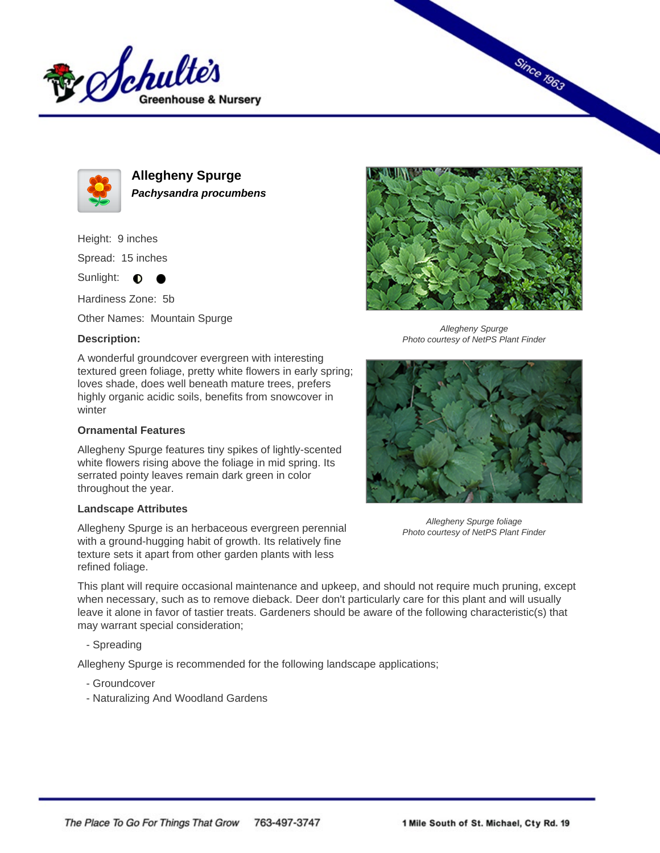



**Allegheny Spurge Pachysandra procumbens**

Height: 9 inches

Spread: 15 inches

Sunlight:  $\bigcirc$ 

Hardiness Zone: 5b

Other Names: Mountain Spurge

## **Description:**

A wonderful groundcover evergreen with interesting textured green foliage, pretty white flowers in early spring; loves shade, does well beneath mature trees, prefers highly organic acidic soils, benefits from snowcover in winter

## **Ornamental Features**

Allegheny Spurge features tiny spikes of lightly-scented white flowers rising above the foliage in mid spring. Its serrated pointy leaves remain dark green in color throughout the year.

## **Landscape Attributes**

Allegheny Spurge is an herbaceous evergreen perennial with a ground-hugging habit of growth. Its relatively fine texture sets it apart from other garden plants with less refined foliage.



**Since 1963** 

Allegheny Spurge Photo courtesy of NetPS Plant Finder



Allegheny Spurge foliage Photo courtesy of NetPS Plant Finder

This plant will require occasional maintenance and upkeep, and should not require much pruning, except when necessary, such as to remove dieback. Deer don't particularly care for this plant and will usually leave it alone in favor of tastier treats. Gardeners should be aware of the following characteristic(s) that may warrant special consideration;

- Spreading

Allegheny Spurge is recommended for the following landscape applications;

- Groundcover
- Naturalizing And Woodland Gardens